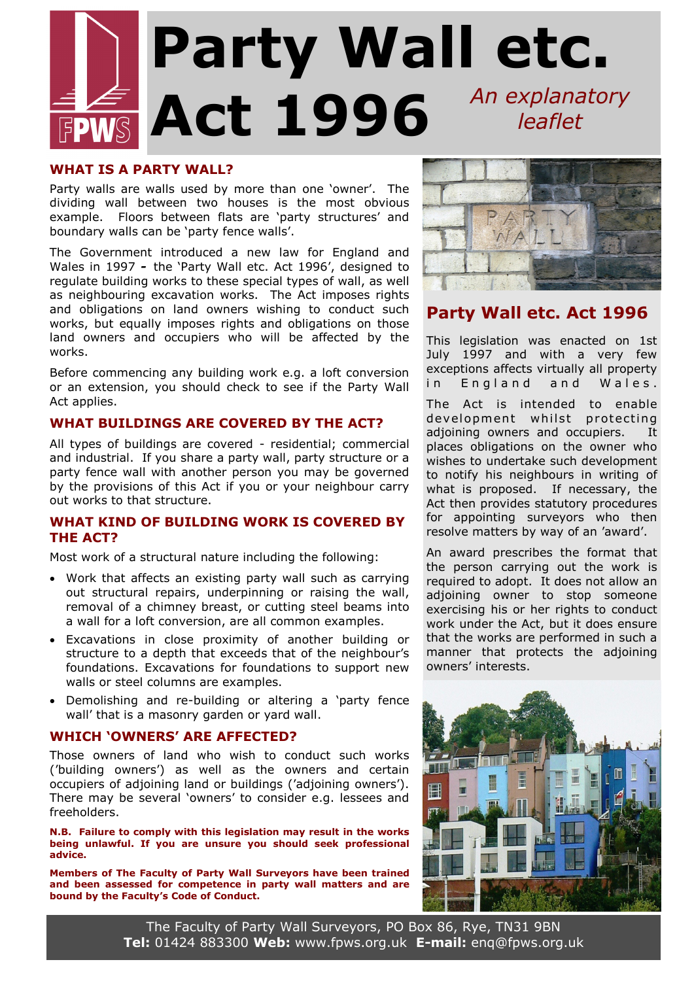# **Party Wall etc. Act 1996** *An explanatory leaflet*

### **WHAT IS A PARTY WALL?**

Party walls are walls used by more than one 'owner'. The dividing wall between two houses is the most obvious example. Floors between flats are 'party structures' and boundary walls can be 'party fence walls'.

The Government introduced a new law for England and Wales in 1997 *-* the 'Party Wall etc. Act 1996', designed to regulate building works to these special types of wall, as well as neighbouring excavation works. The Act imposes rights and obligations on land owners wishing to conduct such works, but equally imposes rights and obligations on those land owners and occupiers who will be affected by the works.

Before commencing any building work e.g. a loft conversion or an extension, you should check to see if the Party Wall Act applies.

# **WHAT BUILDINGS ARE COVERED BY THE ACT?**

All types of buildings are covered - residential; commercial and industrial. If you share a party wall, party structure or a party fence wall with another person you may be governed by the provisions of this Act if you or your neighbour carry out works to that structure.

## **WHAT KIND OF BUILDING WORK IS COVERED BY THE ACT?**

Most work of a structural nature including the following:

- Work that affects an existing party wall such as carrying out structural repairs, underpinning or raising the wall, removal of a chimney breast, or cutting steel beams into a wall for a loft conversion, are all common examples.
- Excavations in close proximity of another building or structure to a depth that exceeds that of the neighbour's foundations. Excavations for foundations to support new walls or steel columns are examples.
- Demolishing and re-building or altering a 'party fence wall' that is a masonry garden or yard wall.

# **WHICH 'OWNERS' ARE AFFECTED?**

Those owners of land who wish to conduct such works ('building owners') as well as the owners and certain occupiers of adjoining land or buildings ('adjoining owners'). There may be several 'owners' to consider e.g. lessees and freeholders.

**N.B. Failure to comply with this legislation may result in the works being unlawful. If you are unsure you should seek professional advice.**

**Members of The Faculty of Party Wall Surveyors have been trained and been assessed for competence in party wall matters and are bound by the Faculty's Code of Conduct.**



# **Party Wall etc. Act 1996**

This legislation was enacted on 1st July 1997 and with a very few exceptions affects virtually all property in England and Wales.

The Act is intended to enable development whilst protecting adjoining owners and occupiers. It places obligations on the owner who wishes to undertake such development to notify his neighbours in writing of what is proposed. If necessary, the Act then provides statutory procedures for appointing surveyors who then resolve matters by way of an 'award'.

An award prescribes the format that the person carrying out the work is required to adopt. It does not allow an adjoining owner to stop someone exercising his or her rights to conduct work under the Act, but it does ensure that the works are performed in such a manner that protects the adjoining owners' interests.



The Faculty of Party Wall Surveyors, PO Box 86, Rye, TN31 9BN **Tel:** 01424 883300 **Web:** www.fpws.org.uk **E-mail:** enq@fpws.org.uk